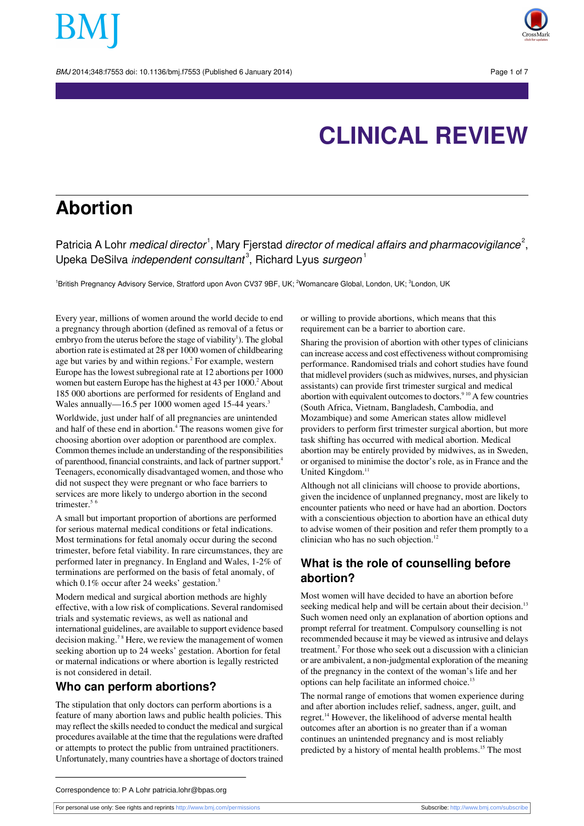

# **CLINICAL REVIEW**

## **Abortion**

Patricia A Lohr *medical director*<sup>1</sup>, Mary Fjerstad *director of medical affairs and pharmacovigilance<sup>2</sup>,* Upeka DeSilva *independent consultant*<sup>3</sup>, Richard Lyus *surgeon*<sup>1</sup>

<sup>1</sup>British Pregnancy Advisory Service, Stratford upon Avon CV37 9BF, UK; <sup>2</sup>Womancare Global, London, UK; <sup>3</sup>London, UK

Every year, millions of women around the world decide to end a pregnancy through abortion (defined as removal of a fetus or embryo from the uterus before the stage of viability<sup>1</sup>). The global abortion rate is estimated at 28 per 1000 women of childbearing age but varies by and within regions.<sup>2</sup> For example, western Europe has the lowest subregional rate at 12 abortions per 1000 women but eastern Europe has the highest at 43 per 1000.<sup>2</sup> About 185 000 abortions are performed for residents of England and Wales annually—16.5 per 1000 women aged 15-44 years.<sup>3</sup>

Worldwide, just under half of all pregnancies are unintended and half of these end in abortion.<sup>4</sup> The reasons women give for choosing abortion over adoption or parenthood are complex. Common themes include an understanding of the responsibilities of parenthood, financial constraints, and lack of partner support.<sup>4</sup> Teenagers, economically disadvantaged women, and those who did not suspect they were pregnant or who face barriers to services are more likely to undergo abortion in the second trimester.<sup>5 6</sup>

A small but important proportion of abortions are performed for serious maternal medical conditions or fetal indications. Most terminations for fetal anomaly occur during the second trimester, before fetal viability. In rare circumstances, they are performed later in pregnancy. In England and Wales, 1-2% of terminations are performed on the basis of fetal anomaly, of which 0.1% occur after 24 weeks' gestation.<sup>3</sup>

Modern medical and surgical abortion methods are highly effective, with a low risk of complications. Several randomised trials and systematic reviews, as well as national and international guidelines, are available to support evidence based decision making.<sup>78</sup> Here, we review the management of women seeking abortion up to 24 weeks' gestation. Abortion for fetal or maternal indications or where abortion is legally restricted is not considered in detail.

## **Who can perform abortions?**

The stipulation that only doctors can perform abortions is a feature of many abortion laws and public health policies. This may reflect the skills needed to conduct the medical and surgical procedures available at the time that the regulations were drafted or attempts to protect the public from untrained practitioners. Unfortunately, many countries have a shortage of doctors trained or willing to provide abortions, which means that this requirement can be a barrier to abortion care.

Sharing the provision of abortion with other types of clinicians can increase access and cost effectiveness without compromising performance. Randomised trials and cohort studies have found that midlevel providers(such as midwives, nurses, and physician assistants) can provide first trimester surgical and medical abortion with equivalent outcomes to doctors. $9^{10}$  A few countries (South Africa, Vietnam, Bangladesh, Cambodia, and Mozambique) and some American states allow midlevel providers to perform first trimester surgical abortion, but more task shifting has occurred with medical abortion. Medical abortion may be entirely provided by midwives, as in Sweden, or organised to minimise the doctor's role, as in France and the United Kingdom.<sup>11</sup>

Although not all clinicians will choose to provide abortions, given the incidence of unplanned pregnancy, most are likely to encounter patients who need or have had an abortion. Doctors with a conscientious objection to abortion have an ethical duty to advise women of their position and refer them promptly to a clinician who has no such objection.<sup>12</sup>

## **What is the role of counselling before abortion?**

Most women will have decided to have an abortion before seeking medical help and will be certain about their decision.<sup>13</sup> Such women need only an explanation of abortion options and prompt referral for treatment. Compulsory counselling is not recommended because it may be viewed as intrusive and delays treatment.<sup>7</sup> For those who seek out a discussion with a clinician or are ambivalent, a non-judgmental exploration of the meaning of the pregnancy in the context of the woman's life and her options can help facilitate an informed choice.<sup>13</sup>

The normal range of emotions that women experience during and after abortion includes relief, sadness, anger, guilt, and regret.<sup>14</sup> However, the likelihood of adverse mental health outcomes after an abortion is no greater than if a woman continues an unintended pregnancy and is most reliably predicted by a history of mental health problems.<sup>15</sup> The most

Correspondence to: P A Lohr patricia.lohr@bpas.org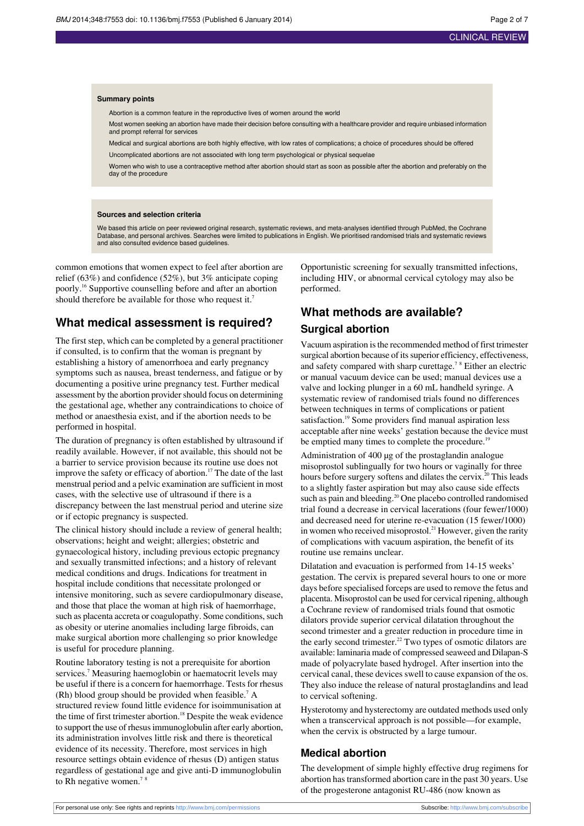#### **Summary points**

Abortion is a common feature in the reproductive lives of women around the world

Most women seeking an abortion have made their decision before consulting with a healthcare provider and require unbiased information and prompt referral for services

Medical and surgical abortions are both highly effective, with low rates of complications; a choice of procedures should be offered Uncomplicated abortions are not associated with long term psychological or physical sequelae

Women who wish to use a contraceptive method after abortion should start as soon as possible after the abortion and preferably on the day of the procedure

#### **Sources and selection criteria**

We based this article on peer reviewed original research, systematic reviews, and meta-analyses identified through PubMed, the Cochrane Database, and personal archives. Searches were limited to publications in English. We prioritised randomised trials and systematic reviews and also consulted evidence based guidelines.

common emotions that women expect to feel after abortion are relief (63%) and confidence (52%), but 3% anticipate coping poorly.<sup>16</sup> Supportive counselling before and after an abortion should therefore be available for those who request it.<sup>7</sup>

### **What medical assessment is required?**

The first step, which can be completed by a general practitioner if consulted, is to confirm that the woman is pregnant by establishing a history of amenorrhoea and early pregnancy symptoms such as nausea, breast tenderness, and fatigue or by documenting a positive urine pregnancy test. Further medical assessment by the abortion provider should focus on determining the gestational age, whether any contraindications to choice of method or anaesthesia exist, and if the abortion needs to be performed in hospital.

The duration of pregnancy is often established by ultrasound if readily available. However, if not available, this should not be a barrier to service provision because its routine use does not improve the safety or efficacy of abortion.<sup>17</sup> The date of the last menstrual period and a pelvic examination are sufficient in most cases, with the selective use of ultrasound if there is a discrepancy between the last menstrual period and uterine size or if ectopic pregnancy is suspected.

The clinical history should include a review of general health; observations; height and weight; allergies; obstetric and gynaecological history, including previous ectopic pregnancy and sexually transmitted infections; and a history of relevant medical conditions and drugs. Indications for treatment in hospital include conditions that necessitate prolonged or intensive monitoring, such as severe cardiopulmonary disease, and those that place the woman at high risk of haemorrhage, such as placenta accreta or coagulopathy. Some conditions, such as obesity or uterine anomalies including large fibroids, can make surgical abortion more challenging so prior knowledge is useful for procedure planning.

Routine laboratory testing is not a prerequisite for abortion services.<sup>7</sup> Measuring haemoglobin or haematocrit levels may be useful if there is a concern for haemorrhage. Tests for rhesus  $(Rh)$  blood group should be provided when feasible.<sup>7</sup> A structured review found little evidence for isoimmunisation at the time of first trimester abortion.<sup>18</sup> Despite the weak evidence to support the use of rhesusimmunoglobulin after early abortion, its administration involves little risk and there is theoretical evidence of its necessity. Therefore, most services in high resource settings obtain evidence of rhesus (D) antigen status regardless of gestational age and give anti-D immunoglobulin to Rh negative women.<sup>78</sup>

Opportunistic screening for sexually transmitted infections, including HIV, or abnormal cervical cytology may also be performed.

## **What methods are available? Surgical abortion**

Vacuum aspiration is the recommended method of first trimester surgical abortion because of its superior efficiency, effectiveness, and safety compared with sharp curettage.<sup>7</sup> <sup>8</sup> Either an electric or manual vacuum device can be used; manual devices use a valve and locking plunger in a 60 mL handheld syringe. A systematic review of randomised trials found no differences between techniques in terms of complications or patient satisfaction.<sup>19</sup> Some providers find manual aspiration less acceptable after nine weeks' gestation because the device must be emptied many times to complete the procedure.<sup>19</sup>

Administration of 400 µg of the prostaglandin analogue misoprostol sublingually for two hours or vaginally for three hours before surgery softens and dilates the cervix.<sup>20</sup> This leads to a slightly faster aspiration but may also cause side effects such as pain and bleeding.<sup>20</sup> One placebo controlled randomised trial found a decrease in cervical lacerations (four fewer/1000) and decreased need for uterine re-evacuation (15 fewer/1000) in women who received misoprostol.<sup>21</sup> However, given the rarity of complications with vacuum aspiration, the benefit of its routine use remains unclear.

Dilatation and evacuation is performed from 14-15 weeks' gestation. The cervix is prepared several hours to one or more days before specialised forceps are used to remove the fetus and placenta. Misoprostol can be used for cervical ripening, although a Cochrane review of randomised trials found that osmotic dilators provide superior cervical dilatation throughout the second trimester and a greater reduction in procedure time in the early second trimester. $^{22}$  Two types of osmotic dilators are available: laminaria made of compressed seaweed and Dilapan-S made of polyacrylate based hydrogel. After insertion into the cervical canal, these devices swell to cause expansion of the os. They also induce the release of natural prostaglandins and lead to cervical softening.

Hysterotomy and hysterectomy are outdated methods used only when a transcervical approach is not possible—for example, when the cervix is obstructed by a large tumour.

#### **Medical abortion**

The development of simple highly effective drug regimens for abortion hastransformed abortion care in the past 30 years. Use of the progesterone antagonist RU-486 (now known as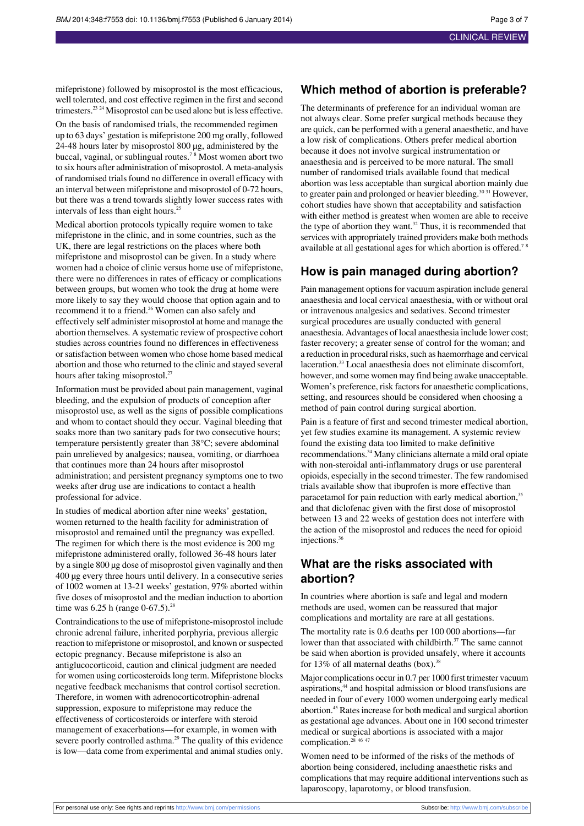mifepristone) followed by misoprostol is the most efficacious, well tolerated, and cost effective regimen in the first and second trimesters.<sup>23 24</sup> Misoprostol can be used alone but is less effective.

On the basis of randomised trials, the recommended regimen up to 63 days' gestation is mifepristone 200 mg orally, followed 24-48 hours later by misoprostol 800 µg, administered by the buccal, vaginal, or sublingual routes.<sup>7</sup> <sup>8</sup> Most women abort two to six hours after administration of misoprostol. A meta-analysis of randomised trials found no difference in overall efficacy with an interval between mifepristone and misoprostol of 0-72 hours, but there was a trend towards slightly lower success rates with intervals of less than eight hours.<sup>25</sup>

Medical abortion protocols typically require women to take mifepristone in the clinic, and in some countries, such as the UK, there are legal restrictions on the places where both mifepristone and misoprostol can be given. In a study where women had a choice of clinic versus home use of mifepristone, there were no differences in rates of efficacy or complications between groups, but women who took the drug at home were more likely to say they would choose that option again and to recommend it to a friend.<sup>26</sup> Women can also safely and effectively self administer misoprostol at home and manage the abortion themselves. A systematic review of prospective cohort studies across countries found no differences in effectiveness or satisfaction between women who chose home based medical abortion and those who returned to the clinic and stayed several hours after taking misoprostol.<sup>27</sup>

Information must be provided about pain management, vaginal bleeding, and the expulsion of products of conception after misoprostol use, as well as the signs of possible complications and whom to contact should they occur. Vaginal bleeding that soaks more than two sanitary pads for two consecutive hours; temperature persistently greater than 38°C; severe abdominal pain unrelieved by analgesics; nausea, vomiting, or diarrhoea that continues more than 24 hours after misoprostol administration; and persistent pregnancy symptoms one to two weeks after drug use are indications to contact a health professional for advice.

In studies of medical abortion after nine weeks' gestation, women returned to the health facility for administration of misoprostol and remained until the pregnancy was expelled. The regimen for which there is the most evidence is 200 mg mifepristone administered orally, followed 36-48 hours later by a single 800 µg dose of misoprostol given vaginally and then 400 µg every three hours until delivery. In a consecutive series of 1002 women at 13-21 weeks' gestation, 97% aborted within five doses of misoprostol and the median induction to abortion time was  $6.25$  h (range  $0-67.5$ ).<sup>28</sup>

Contraindications to the use of mifepristone-misoprostol include chronic adrenal failure, inherited porphyria, previous allergic reaction to mifepristone or misoprostol, and known or suspected ectopic pregnancy. Because mifepristone is also an antiglucocorticoid, caution and clinical judgment are needed for women using corticosteroids long term. Mifepristone blocks negative feedback mechanisms that control cortisol secretion. Therefore, in women with adrenocorticotrophin-adrenal suppression, exposure to mifepristone may reduce the effectiveness of corticosteroids or interfere with steroid management of exacerbations—for example, in women with severe poorly controlled asthma.<sup>29</sup> The quality of this evidence is low—data come from experimental and animal studies only.

## **Which method of abortion is preferable?**

The determinants of preference for an individual woman are not always clear. Some prefer surgical methods because they are quick, can be performed with a general anaesthetic, and have a low risk of complications. Others prefer medical abortion because it does not involve surgical instrumentation or anaesthesia and is perceived to be more natural. The small number of randomised trials available found that medical abortion was less acceptable than surgical abortion mainly due to greater pain and prolonged or heavier bleeding.<sup>30 31</sup> However, cohort studies have shown that acceptability and satisfaction with either method is greatest when women are able to receive the type of abortion they want.<sup>32</sup> Thus, it is recommended that services with appropriately trained providers make both methods available at all gestational ages for which abortion is offered.<sup>78</sup>

## **How is pain managed during abortion?**

Pain management options for vacuum aspiration include general anaesthesia and local cervical anaesthesia, with or without oral or intravenous analgesics and sedatives. Second trimester surgical procedures are usually conducted with general anaesthesia. Advantages of local anaesthesia include lower cost; faster recovery; a greater sense of control for the woman; and a reduction in procedural risks, such as haemorrhage and cervical laceration.<sup>33</sup> Local anaesthesia does not eliminate discomfort, however, and some women may find being awake unacceptable. Women's preference, risk factors for anaesthetic complications, setting, and resources should be considered when choosing a method of pain control during surgical abortion.

Pain is a feature of first and second trimester medical abortion, yet few studies examine its management. A systemic review found the existing data too limited to make definitive recommendations.<sup>34</sup> Many clinicians alternate a mild oral opiate with non-steroidal anti-inflammatory drugs or use parenteral opioids, especially in the second trimester. The few randomised trials available show that ibuprofen is more effective than paracetamol for pain reduction with early medical abortion,<sup>35</sup> and that diclofenac given with the first dose of misoprostol between 13 and 22 weeks of gestation does not interfere with the action of the misoprostol and reduces the need for opioid injections.<sup>36</sup>

## **What are the risks associated with abortion?**

In countries where abortion is safe and legal and modern methods are used, women can be reassured that major complications and mortality are rare at all gestations.

The mortality rate is 0.6 deaths per 100 000 abortions—far lower than that associated with childbirth.<sup>37</sup> The same cannot be said when abortion is provided unsafely, where it accounts for 13% of all maternal deaths (box). $38$ 

Major complications occur in 0.7 per 1000 first trimester vacuum aspirations,<sup>44</sup> and hospital admission or blood transfusions are needed in four of every 1000 women undergoing early medical abortion.<sup>45</sup> Rates increase for both medical and surgical abortion as gestational age advances. About one in 100 second trimester medical or surgical abortions is associated with a major complication.<sup>28</sup> 46 47

Women need to be informed of the risks of the methods of abortion being considered, including anaesthetic risks and complications that may require additional interventions such as laparoscopy, laparotomy, or blood transfusion.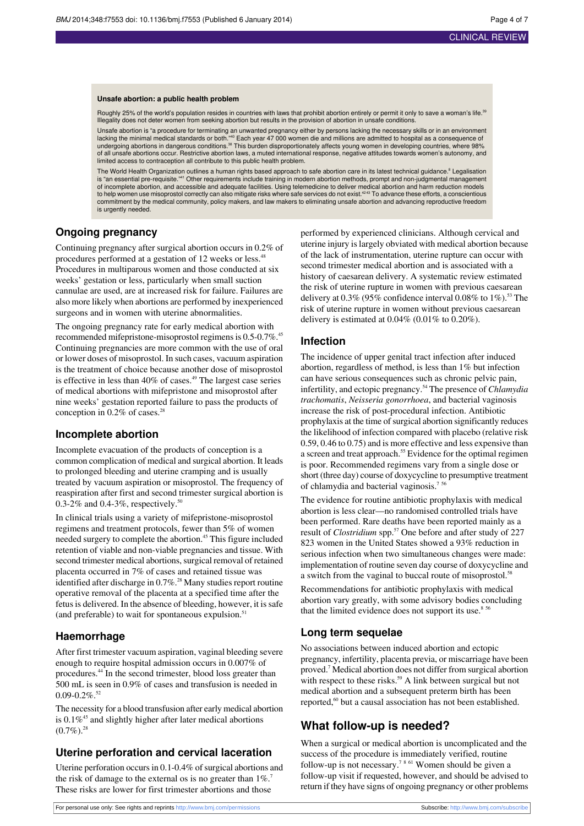#### **Unsafe abortion: a public health problem**

Roughly 25% of the world's population resides in countries with laws that prohibit abortion entirely or permit it only to save a woman's life.<sup>36</sup> Illegality does not deter women from seeking abortion but results in the provision of abortion in unsafe conditions.

Unsafe abortion is "a procedure for terminating an unwanted pregnancy either by persons lacking the necessary skills or in an environment<br>lacking the minimal medical standards or both.""<sup>0</sup> Each year 47 000 women die and m of all unsafe abortions occur. Restrictive abortion laws, a muted international response, negative attitudes towards women's autonomy, and limited access to contraception all contribute to this public health problem.

The World Health Organization outlines a human rights based approach to safe abortion care in its latest technical quidance.<sup>8</sup> Legalisation is "an essential pre-requisite."<sup>41</sup> Other requirements include training in modern abortion methods, prompt and non-judgmental management of incomplete abortion, and accessible and adequate facilities. Using telemedicine to deliver medical abortion and harm reduction models<br>to help women use misoprostol correctly can also mitigate risks where safe services d commitment by the medical community, policy makers, and law makers to eliminating unsafe abortion and advancing reproductive freedom is urgently needed.

#### **Ongoing pregnancy**

Continuing pregnancy after surgical abortion occurs in 0.2% of procedures performed at a gestation of 12 weeks or less.<sup>48</sup> Procedures in multiparous women and those conducted at six weeks' gestation or less, particularly when small suction cannulae are used, are at increased risk for failure. Failures are also more likely when abortions are performed by inexperienced surgeons and in women with uterine abnormalities.

The ongoing pregnancy rate for early medical abortion with recommended mifepristone-misoprostol regimens is 0.5-0.7%.<sup>45</sup> Continuing pregnancies are more common with the use of oral or lower doses of misoprostol. In such cases, vacuum aspiration is the treatment of choice because another dose of misoprostol is effective in less than 40% of cases.<sup>49</sup> The largest case series of medical abortions with mifepristone and misoprostol after nine weeks' gestation reported failure to pass the products of conception in  $0.2\%$  of cases.<sup>28</sup>

#### **Incomplete abortion**

Incomplete evacuation of the products of conception is a common complication of medical and surgical abortion. It leads to prolonged bleeding and uterine cramping and is usually treated by vacuum aspiration or misoprostol. The frequency of reaspiration after first and second trimester surgical abortion is 0.3-2% and 0.4-3%, respectively.<sup>50</sup>

In clinical trials using a variety of mifepristone-misoprostol regimens and treatment protocols, fewer than 5% of women needed surgery to complete the abortion.<sup>45</sup> This figure included retention of viable and non-viable pregnancies and tissue. With second trimester medical abortions, surgical removal of retained placenta occurred in 7% of cases and retained tissue was identified after discharge in 0.7%.<sup>28</sup> Many studies report routine operative removal of the placenta at a specified time after the fetus is delivered. In the absence of bleeding, however, it is safe (and preferable) to wait for spontaneous expulsion.<sup>51</sup>

#### **Haemorrhage**

After first trimester vacuum aspiration, vaginal bleeding severe enough to require hospital admission occurs in 0.007% of procedures.<sup>44</sup> In the second trimester, blood loss greater than 500 mL is seen in 0.9% of cases and transfusion is needed in  $0.09 - 0.2\%$ <sup>52</sup>

The necessity for a blood transfusion after early medical abortion is  $0.1\%$ <sup>45</sup> and slightly higher after later medical abortions  $(0.7\%)$ <sup>28</sup>

#### **Uterine perforation and cervical laceration**

Uterine perforation occurs in  $0.1$ -0.4% of surgical abortions and the risk of damage to the external os is no greater than  $1\%$ . These risks are lower for first trimester abortions and those

performed by experienced clinicians. Although cervical and uterine injury is largely obviated with medical abortion because of the lack of instrumentation, uterine rupture can occur with second trimester medical abortion and is associated with a history of caesarean delivery. A systematic review estimated the risk of uterine rupture in women with previous caesarean delivery at  $0.3\%$  (95% confidence interval  $0.08\%$  to  $1\%$ ).<sup>53</sup> The risk of uterine rupture in women without previous caesarean delivery is estimated at  $0.04\%$  (0.01% to 0.20%).

#### **Infection**

The incidence of upper genital tract infection after induced abortion, regardless of method, is less than 1% but infection can have serious consequences such as chronic pelvic pain, infertility, and ectopic pregnancy.<sup>54</sup> The presence of *Chlamydia trachomatis*, *Neisseria gonorrhoea*, and bacterial vaginosis increase the risk of post-procedural infection. Antibiotic prophylaxis at the time of surgical abortion significantly reduces the likelihood of infection compared with placebo (relative risk 0.59, 0.46 to 0.75) and is more effective and less expensive than a screen and treat approach.<sup>55</sup> Evidence for the optimal regimen is poor. Recommended regimens vary from a single dose or short (three day) course of doxycycline to presumptive treatment of chlamydia and bacterial vaginosis.<sup>756</sup>

The evidence for routine antibiotic prophylaxis with medical abortion is less clear—no randomised controlled trials have been performed. Rare deaths have been reported mainly as a result of *Clostridium* spp.<sup>57</sup> One before and after study of 227 823 women in the United States showed a 93% reduction in serious infection when two simultaneous changes were made: implementation of routine seven day course of doxycycline and a switch from the vaginal to buccal route of misoprostol.<sup>58</sup>

Recommendations for antibiotic prophylaxis with medical abortion vary greatly, with some advisory bodies concluding that the limited evidence does not support its use.<sup>8</sup>

#### **Long term sequelae**

No associations between induced abortion and ectopic pregnancy, infertility, placenta previa, or miscarriage have been proved.<sup>7</sup> Medical abortion does not differ from surgical abortion with respect to these risks.<sup>59</sup> A link between surgical but not medical abortion and a subsequent preterm birth has been reported,<sup>60</sup> but a causal association has not been established.

### **What follow-up is needed?**

When a surgical or medical abortion is uncomplicated and the success of the procedure is immediately verified, routine follow-up is not necessary.<sup>7 8 61</sup> Women should be given a follow-up visit if requested, however, and should be advised to return if they have signs of ongoing pregnancy or other problems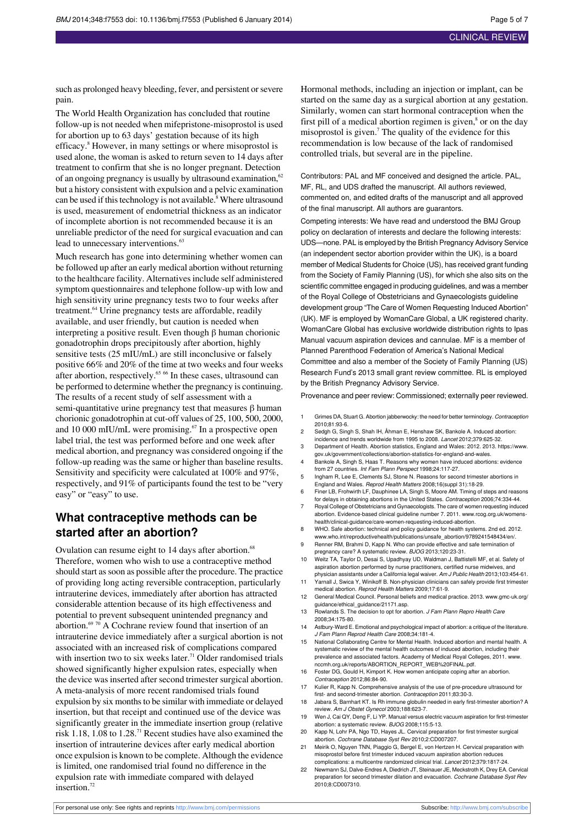such as prolonged heavy bleeding, fever, and persistent or severe pain.

The World Health Organization has concluded that routine follow-up is not needed when mifepristone-misoprostol is used for abortion up to 63 days' gestation because of its high efficacy.<sup>8</sup> However, in many settings or where misoprostol is used alone, the woman is asked to return seven to 14 days after treatment to confirm that she is no longer pregnant. Detection of an ongoing pregnancy is usually by ultrasound examination, $62$ but a history consistent with expulsion and a pelvic examination can be used if this technology is not available.<sup>8</sup> Where ultrasound is used, measurement of endometrial thickness as an indicator of incomplete abortion is not recommended because it is an unreliable predictor of the need for surgical evacuation and can lead to unnecessary interventions.<sup>63</sup>

Much research has gone into determining whether women can be followed up after an early medical abortion without returning to the healthcare facility. Alternatives include self administered symptom questionnaires and telephone follow-up with low and high sensitivity urine pregnancy tests two to four weeks after treatment.<sup>64</sup> Urine pregnancy tests are affordable, readily available, and user friendly, but caution is needed when interpreting a positive result. Even though β human chorionic gonadotrophin drops precipitously after abortion, highly sensitive tests (25 mIU/mL) are still inconclusive or falsely positive 66% and 20% of the time at two weeks and four weeks after abortion, respectively.<sup>65 66</sup> In these cases, ultrasound can be performed to determine whether the pregnancy is continuing. The results of a recent study of self assessment with a semi-quantitative urine pregnancy test that measures β human chorionic gonadotrophin at cut-off values of 25, 100, 500, 2000, and 10 000 mIU/mL were promising.<sup>67</sup> In a prospective open label trial, the test was performed before and one week after medical abortion, and pregnancy was considered ongoing if the follow-up reading was the same or higher than baseline results. Sensitivity and specificity were calculated at 100% and 97%, respectively, and 91% of participants found the test to be "very easy" or "easy" to use.

## **What contraceptive methods can be started after an abortion?**

Ovulation can resume eight to 14 days after abortion.<sup>68</sup> Therefore, women who wish to use a contraceptive method should start as soon as possible after the procedure. The practice of providing long acting reversible contraception, particularly intrauterine devices, immediately after abortion has attracted considerable attention because of its high effectiveness and potential to prevent subsequent unintended pregnancy and abortion.<sup>69 70</sup> A Cochrane review found that insertion of an intrauterine device immediately after a surgical abortion is not associated with an increased risk of complications compared with insertion two to six weeks later.<sup>71</sup> Older randomised trials showed significantly higher expulsion rates, especially when the device was inserted after second trimester surgical abortion. A meta-analysis of more recent randomised trials found expulsion by six months to be similar with immediate or delayed insertion, but that receipt and continued use of the device was significantly greater in the immediate insertion group (relative risk 1.18, 1.08 to 1.28.<sup>71</sup> Recent studies have also examined the insertion of intrauterine devices after early medical abortion once expulsion is known to be complete. Although the evidence is limited, one randomised trial found no difference in the expulsion rate with immediate compared with delayed insertion.<sup>72</sup>

Hormonal methods, including an injection or implant, can be started on the same day as a surgical abortion at any gestation. Similarly, women can start hormonal contraception when the first pill of a medical abortion regimen is given,<sup>8</sup> or on the day misoprostol is given.<sup>7</sup> The quality of the evidence for this recommendation is low because of the lack of randomised controlled trials, but several are in the pipeline.

Contributors: PAL and MF conceived and designed the article. PAL, MF, RL, and UDS drafted the manuscript. All authors reviewed, commented on, and edited drafts of the manuscript and all approved of the final manuscript. All authors are guarantors.

Competing interests: We have read and understood the BMJ Group policy on declaration of interests and declare the following interests: UDS—none. PAL is employed by the British Pregnancy Advisory Service (an independent sector abortion provider within the UK), is a board member of Medical Students for Choice (US), has received grant funding from the Society of Family Planning (US), for which she also sits on the scientific committee engaged in producing guidelines, and was a member of the Royal College of Obstetricians and Gynaecologists guideline development group "The Care of Women Requesting Induced Abortion" (UK). MF is employed by WomanCare Global, a UK registered charity. WomanCare Global has exclusive worldwide distribution rights to Ipas Manual vacuum aspiration devices and cannulae. MF is a member of Planned Parenthood Federation of America's National Medical Committee and also a member of the Society of Family Planning (US) Research Fund's 2013 small grant review committee. RL is employed by the British Pregnancy Advisory Service.

Provenance and peer review: Commissioned; externally peer reviewed.

- 1 Grimes DA, Stuart G. Abortion jabberwocky: the need for better terminology. Contraception 2010;81:93-6.
- 2 Sedgh G, Singh S, Shah IH, Åhman E, Henshaw SK, Bankole A. Induced abortion: incidence and trends worldwide from 1995 to 2008. Lancet 2012;379:625-32.
- 3 Department of Health. Abortion statistics, England and Wales: 2012. 2013. https://www. gov.uk/government/collections/abortion-statistics-for-england-and-wales. 4 Bankole A, Singh S, Haas T. Reasons why women have induced abortions: evidently
- from 27 countries. Int Fam Plann Perspect 1998;24:117-27. 5 Ingham R, Lee E, Clements SJ, Stone N. Reasons for second trimester abortions in
- England and Wales. Reprod Health Matters 2008;16(suppl 31):18-29. 6 Finer LB, Frohwirth LF, Dauphinee LA, Singh S, Moore AM. Timing of steps and reasons
- for delays in obtaining abortions in the United States. Contraception 2006;74:334-44. 7 Royal College of Obstetricians and Gynaecologists. The care of women requesting induced
- abortion. Evidence-based clinical guideline number 7. 2011. [www.rcog.org.uk/womens](http://www.rcog.org.uk/womens-health/clinical-guidance/care-women-requesting-induced-abortion)[health/clinical-guidance/care-women-requesting-induced-abortion.](http://www.rcog.org.uk/womens-health/clinical-guidance/care-women-requesting-induced-abortion)
- 8 WHO. Safe abortion: technical and policy guidance for health systems. 2nd ed. 2012. [www.who.int/reproductivehealth/publications/unsafe\\_abortion/9789241548434/en/.](http://www.who.int/reproductivehealth/publications/unsafe_abortion/9789241548434/en/)
- 9 Renner RM, Brahmi D, Kapp N. Who can provide effective and safe termination of pregnancy care? A systematic review. BJOG 2013;120:23-31.
- 10 Weitz TA, Taylor D, Desai S, Upadhyay UD, Waldman J, Battistelli MF, et al. Safety of aspiration abortion performed by nurse practitioners, certified nurse midwives, and physician assistants under a California legal waiver. Am J Public Health 2013;103:454-61.
- 11 Yarnall J, Swica Y, Winikoff B. Non-physician clinicians can safely provide first trimeste medical abortion. Reprod Health Matters 2009;17:61-9.
- 12 General Medical Council. Personal beliefs and medical practice. 2013. [www.gmc-uk.org/](http://www.gmc-uk.org/guidance/ethical_guidance/21171.asp) quidance/ethical\_quidance/21171.asp.
- 13 Rowlands S. The decision to opt for abortion. J Fam Plann Repro Health Care 2008;34:175-80.
- 14 Astbury-Ward E. Emotional and psychological impact of abortion: a critique of the literature. J Fam Plann Reprod Health Care 2008;34:181-4.
- 15 National Collaborating Centre for Mental Health. Induced abortion and mental health. A systematic review of the mental health outcomes of induced abortion, including their prevalence and associated factors. Academy of Medical Royal Colleges, 2011. [www.](http://www.nccmh.org.uk/reports/ABORTION_REPORT_WEB%20FINAL.pdf) [nccmh.org.uk/reports/ABORTION\\_REPORT\\_WEB%20FINAL.pdf.](http://www.nccmh.org.uk/reports/ABORTION_REPORT_WEB%20FINAL.pdf)
- 16 Foster DG, Gould H, Kimport K. How women anticipate coping after an abortion. Contraception 2012;86:84-90.
- 17 Kulier R, Kapp N. Comprehensive analysis of the use of pre-procedure ultrasound for first- and second-trimester abortion. Contraception 2011;83:30-3.
- Jabara S, Barnhart KT. Is Rh immune globulin needed in early first-trimester abortion? A review. Am J Obstet Gynecol 2003;188:623-7.
- 19 Wen J, Cai QY, Deng F, Li YP. Manual versus electric vacuum aspiration for first-trimester abortion: a systematic review. BJOG 2008;115:5-13.
- 20 Kapp N, Lohr PA, Ngo TD, Hayes JL. Cervical preparation for first trimester surgical abortion. Cochrane Database Syst Rev 2010;2:CD007207.
- 21 Meirik O, Nguyen TNN, Piaggio G, Bergel E, von Hertzen H. Cervical preparation with misoprostol before first trimester induced vacuum aspiration abortion reduces complications: a multicentre randomized clinical trial. Lancet 2012;379:1817-24.
- 22 Newmann SJ, Dalve-Endres A, Diedrich JT, Steinauer JE, Meckstroth K, Drey EA. Cervical preparation for second trimester dilation and evacuation. Cochrane Database Syst Rev 2010;8:CD007310.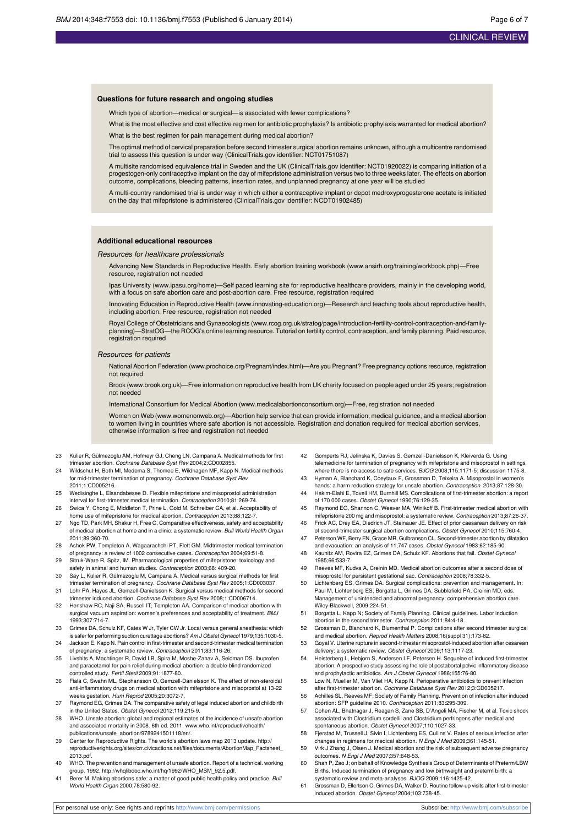#### **Questions for future research and ongoing studies**

Which type of abortion—medical or surgical—is associated with fewer complications?

What is the most effective and cost effective regimen for antibiotic prophylaxis? Is antibiotic prophylaxis warranted for medical abortion? What is the best regimen for pain management during medical abortion?

The optimal method of cervical preparation before second trimester surgical abortion remains unknown, although a multicentre randomised trial to assess this question is under way (ClinicalTrials.gov identifier: NCT01751087)

A multisite randomised equivalence trial in Sweden and the UK (ClinicalTrials.gov identifier: NCT01920022) is comparing initiation of a progestogen-only contraceptive implant on the day of mifepristone administration versus two to three weeks later. The effects on abortion outcome, complications, bleeding patterns, insertion rates, and unplanned pregnancy at one year will be studied

A multi-country randomised trial is under way in which either a contraceptive implant or depot medroxyprogesterone acetate is initiated on the day that mifepristone is administered (ClinicalTrials.gov identifier: NCDT01902485)

#### **Additional educational resources**

#### Resources for healthcare professionals

Advancing New Standards in Reproductive Health. Early abortion training workbook [\(www.ansirh.org/training/workbook.php](http://www.ansirh.org/training/workbook.php))—Free resource, registration not needed

Ipas University ([www.ipasu.org/home\)](http://www.ipasu.org/home)—Self paced learning site for reproductive healthcare providers, mainly in the developing world, with a focus on safe abortion care and post-abortion care. Free resource, registration required

Innovating Education in Reproductive Health [\(www.innovating-education.org\)](http://www.innovating-education.org/)—Research and teaching tools about reproductive health, including abortion. Free resource, registration not needed

Royal College of Obstetricians and Gynaecologists [\(www.rcog.org.uk/stratog/page/introduction-fertility-control-contraception-and-family](http://www.rcog.org.uk/stratog/page/introduction-fertility-control-contraception-and-family-planning)[planning\)](http://www.rcog.org.uk/stratog/page/introduction-fertility-control-contraception-and-family-planning)—StratOG—the RCOG's online learning resource. Tutorial on fertility control, contraception, and family planning. Paid resource, registration required

#### Resources for patients

National Abortion Federation ([www.prochoice.org/Pregnant/index.html](http://www.prochoice.org/Pregnant/index.html))—Are you Pregnant? Free pregnancy options resource, registration not required

Brook ([www.brook.org.uk](http://www.brook.org.uk/))—Free information on reproductive health from UK charity focused on people aged under 25 years; registration not needed

International Consortium for Medical Abortion ([www.medicalabortionconsortium.org\)](http://www.medicalabortionconsortium.org/)—Free, registration not needed

Women on Web [\(www.womenonweb.org](http://www.womenonweb.org/))—Abortion help service that can provide information, medical guidance, and a medical abortion to women living in countries where safe abortion is not accessible. Registration and donation required for medical abortion services, otherwise information is free and registration not needed

- 23 Kulier R, Gülmezoglu AM, Hofmeyr GJ, Cheng LN, Campana A. Medical methods for first trimester abortion. Cochrane Database Syst Rev 2004;2:CD002855.
- Wildschut H, Both MI, Medema S, Thomee E, Wildhagen MF, Kapp N. Medical methods for mid-trimester termination of pregnancy. Cochrane Database Syst Rev 2011;1:CD005216.
- 25 Wedisinghe L, Elsandabesee D. Flexible mifepristone and misoprostol administration interval for first-trimester medical termination. Contraception 2010;81:269-74.
- 26 Swica Y, Chong E, Middleton T, Prine L, Gold M, Schreiber CA, et al. Acceptability of home use of mifepristone for medical abortion. Contraception 2013;88:122-7.
- 27 Ngo TD, Park MH, Shakur H, Free C. Comparative effectiveness, safety and acceptability of medical abortion at home and in a clinic: a systematic review. Bull World Health Organ 2011;89:360-70.
- 28 Ashok PW, Templeton A, Wagaarachchi PT, Flett GM. Midtrimester medical termination of pregnancy: a review of 1002 consecutive cases. Contraception 2004;69:51-8.
- 29 Sitruk-Ware R, Spitz, IM. Pharmacological properties of mifepristone: toxicology and safety in animal and human studies. Contraception 2003;68: 409-20.
- 30 Say L, Kulier R, Gülmezoglu M, Campana A. Medical versus surgical methods for first ster termination of pregnancy. Cochrane Database Syst Rev 2005;1:CD003037.
- 31 Lohr PA, Hayes JL, Gemzell-Danielsson K. Surgical versus medical methods for second trimester induced abortion. Cochrane Database Syst Rev 2008;1:CD006714. 32 Henshaw RC, Naji SA, Russell IT, Templeton AA. Comparison of medical abortion with
- surgical vacuum aspiration: women's preferences and acceptability of treatment. BMJ 1993;307:714-7.
- 33 Grimes DA, Schulz KF, Cates W Jr, Tyler CW Jr. Local versus general anesthesia: which is safer for performing suction curettage abortions? Am J Obstet Gynecol 1979;135:1030-5.
- 34 Jackson E, Kapp N. Pain control in first-trimester and second-trimester medical termination of pregnancy: a systematic review. Contraception 2011;83:116-26.
- 35 Livshits A, Machtinger R, David LB, Spira M, Moshe-Zahav A, Seidman DS. Ibuprofen and paracetamol for pain relief during medical abortion: a double-blind randomized controlled study. Fertil Steril 2009;91:1877-80.
- 36 Fiala C, Swahn ML, Stephansson O, Gemzell-Danielsson K. The effect of non-steroidal anti-inflammatory drugs on medical abortion with mifepristone and misoprostol at 13-22 reeks gestation. Hum Reprod 2005;20:3072-7.
- 37 Raymond EG, Grimes DA. The comparative safety of legal induced abortion and childbirth in the United States. Obstet Gynecol 2012;119:215-9.
- 38 WHO. Unsafe abortion: global and regional estimates of the incidence of unsafe abortion and associated mortality in 2008. 6th ed. 2011. [www.who.int/reproductivehealth/](http://www.who.int/reproductivehealth/publications/unsafe_abortion/9789241501118/en/) [publications/unsafe\\_abortion/9789241501118/en/](http://www.who.int/reproductivehealth/publications/unsafe_abortion/9789241501118/en/).
- 39 Center for Reproductive Rights. The world's abortion laws map 2013 update. [http://](http://reproductiverights.org/sites/crr.civicactions.net/files/documents/AbortionMap_Factsheet_2013.pdf) [reproductiverights.org/sites/crr.civicactions.net/files/documents/AbortionMap\\_Factsheet\\_](http://reproductiverights.org/sites/crr.civicactions.net/files/documents/AbortionMap_Factsheet_2013.pdf) [2013.pdf.](http://reproductiverights.org/sites/crr.civicactions.net/files/documents/AbortionMap_Factsheet_2013.pdf)
- 40 WHO. The prevention and management of unsafe abortion. Report of a technical. working group. 1992. [http://whqlibdoc.who.int/hq/1992/WHO\\_MSM\\_92.5.pdf](http://whqlibdoc.who.int/hq/1992/WHO_MSM_92.5.pdf).
- 41 Berer M. Making abortions safe: a matter of good public health policy and practice. Bull World Health Organ 2000;78:580-92.
- 42 Gomperts RJ, Jelinska K, Davies S, Gemzell-Danielsson K, Kleiverda G. Using telemedicine for termination of pregnancy with mifepristone and misoprostol in settings where there is no access to safe services. BJOG 2008;115:1171-5; discussion 1175-8.
- 43 Hyman A, Blanchard K, Coeytaux F, Grossman D, Teixeira A. Misoprostol in women's hands: a harm reduction strategy for unsafe abortion. Contraception 2013;87:128-30.
- 44 Hakim-Elahi E, Tovell HM, Burnhill MS. Complications of first-trimester abortion: a report of 170 000 cases. Obstet Gynecol 1990;76:129-35.
- 45 Raymond EG, Shannon C, Weaver MA, Winikoff B. First-trimester medical abortion with mifepristone 200 mg and misoprostol: a systematic review. Contraception 2013;87:26-37.
- 46 Frick AC, Drey EA, Diedrich JT, Steinauer JE. Effect of prior caesarean delivery on risk of second-trimester surgical abortion complications. Obstet Gynecol 2010;115:760-4. 47 Peterson WF, Berry FN, Grace MR, Gulbranson CL. Second-trimester abortion by dilatation
- and evacuation: an analysis of 11,747 cases. Obstet Gynecol 1983;62:185-90. 48 Kaunitz AM, Rovira EZ, Grimes DA, Schulz KF. Abortions that fail. Obstet Gynecol
- 1985;66:533-7. 49 Reeves MF, Kudva A, Creinin MD. Medical abortion outcomes after a second dose of
- misoprostol for persistent gestational sac. Contraception 2008;78:332-5.
- 50 Lichtenberg ES, Grimes DA. Surgical complications: prevention and management. In: Paul M, Lichtenberg ES, Borgatta L, Grimes DA, Subblefield PA, Creinin MD, eds. Management of unintended and abnormal pregnancy: comprehensive abortion care. Wiley-Blackwell, 2009:224-51.
- Borgatta L, Kapp N; Society of Family Planning. Clinical guidelines. Labor induction abortion in the second trimester. Contraception 2011;84:4-18.<br>52 Grossman D, Blanchard K, Blumenthal P. Complications after second trimester surgica
- and medical abortion. Reprod Health Matters 2008;16(suppl 31):173-82.
- 53 Goval V. Uterine rupture in second-trimester misoprostol-induced abortion after cesare delivery: a systematic review. Obstet Gynecol 2009;113:1117-23.
- 54 Heisterberg L, Hebjorn S, Andersen LF, Petersen H. Sequelae of induced first-trimester abortion. A prospective study assessing the role of postabortal pelvic inflammatory disease and prophylactic antibiotics. Am J Obstet Gynecol 1986;155:76-80.
- 55 Low N, Mueller M, Van Vliet HA, Kapp N. Perioperative antibiotics to prevent infection after first-trimester abortion. Cochrane Database Syst Rev 2012;3:CD005217.
- 56 Achilles SL, Reeves MF; Society of Family Planning. Prevention of infection after induced abortion: SFP guideline 2010. Contraception 2011;83:295-309.
- 57 Cohen AL, Bhatnagar J, Reagan S, Zane SB, D'Angeli MA, Fischer M, et al. Toxic shock associated with Clostridium sordellii and Clostridium perfringens after medical and spontaneous abortion. Obstet Gynecol 2007;110:1027-33.
- 58 Fjerstad M, Trussell J, Sivin I, Lichtenberg ES, Cullins V. Rates of serious infection after<br>changes in regimens for medical abortion. N Engl J Med 2009;361:145-51.
- 59 Virk J Zhang J, Olsen J. Medical abortion and the risk of subsequent adverse pregnancy outcomes. N Engl J Med 2007;357:648-53.
- 60 Shah P, Zao J; on behalf of Knowledge Synthesis Group of Determinants of Preterm/LBW Births. Induced termination of pregnancy and low birthweight and preterm birth: a systematic review and meta-analyses. BJOG 2009;116:1425-42.
- 61 Grossman D, Ellertson C, Grimes DA, Walker D. Routine follow-up visits after first-trimester induced abortion. Obstet Gynecol 2004;103:738-45.